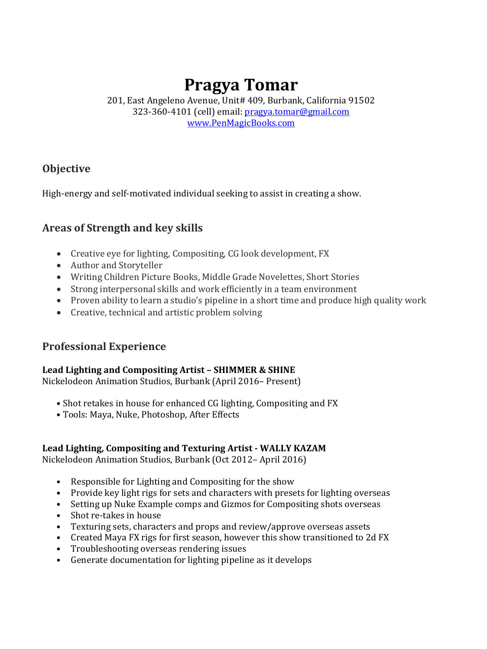# **Pragya Tomar**

201, East Angeleno Avenue, Unit# 409, Burbank, California 91502 323-360-4101 (cell) email: [pragya.tomar@gmail.com](mailto:pragya.tomar@gmail.com) [www.PenMagicBooks.com](http://www.penmagicbooks.com/)

# **Objective**

High-energy and self-motivated individual seeking to assist in creating a show.

## **Areas of Strength and key skills**

- Creative eye for lighting, Compositing, CG look development, FX
- Author and Storyteller
- Writing Children Picture Books, Middle Grade Novelettes, Short Stories
- Strong interpersonal skills and work efficiently in a team environment
- Proven ability to learn a studio's pipeline in a short time and produce high quality work
- Creative, technical and artistic problem solving

## **Professional Experience**

#### **Lead Lighting and Compositing Artist – SHIMMER & SHINE**

Nickelodeon Animation Studios, Burbank (April 2016– Present)

- Shot retakes in house for enhanced CG lighting, Compositing and FX
- Tools: Maya, Nuke, Photoshop, After Effects

#### **Lead Lighting, Compositing and Texturing Artist - WALLY KAZAM**

Nickelodeon Animation Studios, Burbank (Oct 2012– April 2016)

- Responsible for Lighting and Compositing for the show
- Provide key light rigs for sets and characters with presets for lighting overseas
- Setting up Nuke Example comps and Gizmos for Compositing shots overseas
- Shot re-takes in house
- Texturing sets, characters and props and review/approve overseas assets
- Created Maya FX rigs for first season, however this show transitioned to 2d FX
- Troubleshooting overseas rendering issues
- Generate documentation for lighting pipeline as it develops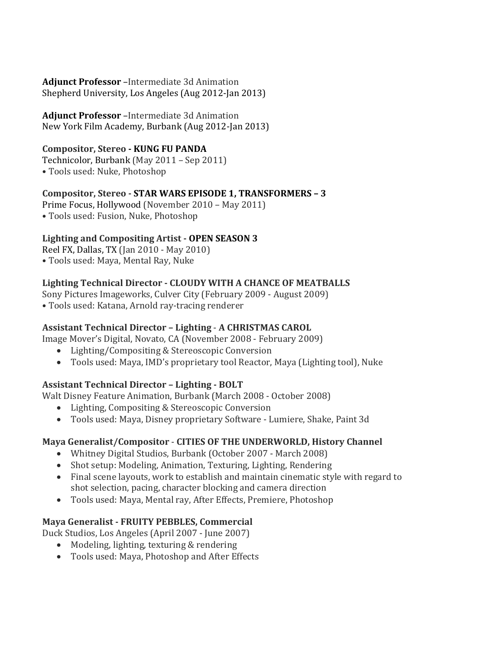#### **Adjunct Professor** –Intermediate 3d Animation Shepherd University, Los Angeles (Aug 2012-Jan 2013)

#### **Adjunct Professor** –Intermediate 3d Animation New York Film Academy, Burbank (Aug 2012-Jan 2013)

#### **Compositor, Stereo - KUNG FU PANDA**

Technicolor, Burbank (May 2011 – Sep 2011)

• Tools used: Nuke, Photoshop

### **Compositor, Stereo - STAR WARS EPISODE 1, TRANSFORMERS – 3**

Prime Focus, Hollywood (November 2010 – May 2011) • Tools used: Fusion, Nuke, Photoshop

## **Lighting and Compositing Artist - OPEN SEASON 3**

Reel FX, Dallas, TX (Jan 2010 - May 2010)

• Tools used: Maya, Mental Ray, Nuke

## **Lighting Technical Director - CLOUDY WITH A CHANCE OF MEATBALLS**

Sony Pictures Imageworks, Culver City (February 2009 - August 2009)

• Tools used: Katana, Arnold ray-tracing renderer

## **Assistant Technical Director – Lighting** - **A CHRISTMAS CAROL**

Image Mover's Digital, Novato, CA (November 2008 - February 2009)

- Lighting/Compositing & Stereoscopic Conversion
- Tools used: Maya, IMD's proprietary tool Reactor, Maya (Lighting tool), Nuke

#### **Assistant Technical Director – Lighting - BOLT**

Walt Disney Feature Animation, Burbank (March 2008 - October 2008)

- Lighting, Compositing & Stereoscopic Conversion
- Tools used: Maya, Disney proprietary Software Lumiere, Shake, Paint 3d

#### **Maya Generalist/Compositor** - **CITIES OF THE UNDERWORLD, History Channel**

- Whitney Digital Studios, Burbank (October 2007 March 2008)
- Shot setup: Modeling, Animation, Texturing, Lighting, Rendering
- Final scene layouts, work to establish and maintain cinematic style with regard to shot selection, pacing, character blocking and camera direction
- Tools used: Maya, Mental ray, After Effects, Premiere, Photoshop

#### **Maya Generalist - FRUITY PEBBLES, Commercial**

Duck Studios, Los Angeles (April 2007 - June 2007)

- Modeling, lighting, texturing & rendering
- Tools used: Maya, Photoshop and After Effects